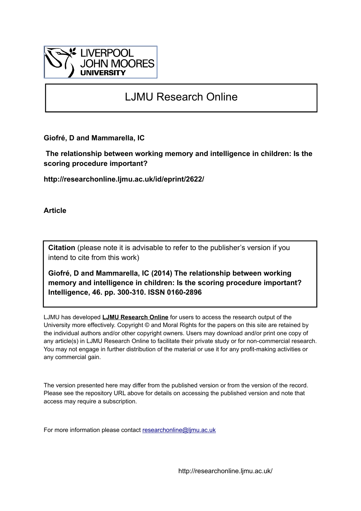

# LJMU Research Online

**Giofré, D and Mammarella, IC**

 **The relationship between working memory and intelligence in children: Is the scoring procedure important?**

**http://researchonline.ljmu.ac.uk/id/eprint/2622/**

**Article**

**Citation** (please note it is advisable to refer to the publisher's version if you intend to cite from this work)

**Giofré, D and Mammarella, IC (2014) The relationship between working memory and intelligence in children: Is the scoring procedure important? Intelligence, 46. pp. 300-310. ISSN 0160-2896** 

LJMU has developed **[LJMU Research Online](http://researchonline.ljmu.ac.uk/)** for users to access the research output of the University more effectively. Copyright © and Moral Rights for the papers on this site are retained by the individual authors and/or other copyright owners. Users may download and/or print one copy of any article(s) in LJMU Research Online to facilitate their private study or for non-commercial research. You may not engage in further distribution of the material or use it for any profit-making activities or any commercial gain.

The version presented here may differ from the published version or from the version of the record. Please see the repository URL above for details on accessing the published version and note that access may require a subscription.

For more information please contact [researchonline@ljmu.ac.uk](mailto:researchonline@ljmu.ac.uk)

http://researchonline.ljmu.ac.uk/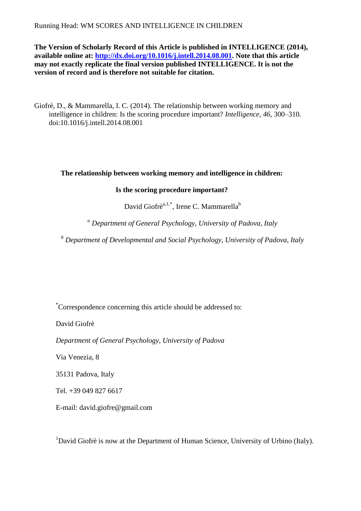Running Head: WM SCORES AND INTELLIGENCE IN CHILDREN

**The Version of Scholarly Record of this Article is published in INTELLIGENCE (2014), available online at: [http://dx.doi.org/10.1016/j.intell.2014.08.001.](http://dx.doi.org/10.1016/j.intell.2014.08.001) Note that this article may not exactly replicate the final version published INTELLIGENCE. It is not the version of record and is therefore not suitable for citation.**

Giofrè, D., & Mammarella, I. C. (2014). The relationship between working memory and intelligence in children: Is the scoring procedure important? *Intelligence*, *46*, 300–310. doi:10.1016/j.intell.2014.08.001

# **The relationship between working memory and intelligence in children:**

# **Is the scoring procedure important?**

David Giofrè<sup>a, 1,\*</sup>, Irene C. Mammarella<sup>b</sup>

*<sup>a</sup> Department of General Psychology, University of Padova, Italy*

*<sup>b</sup> Department of Developmental and Social Psychology, University of Padova, Italy*

\*Correspondence concerning this article should be addressed to:

David Giofrè

*Department of General Psychology, University of Padova*

Via Venezia, 8

35131 Padova, Italy

Tel. +39 049 827 6617

E-mail: david.giofre@gmail.com

 $1$ David Giofrè is now at the Department of Human Science, University of Urbino (Italy).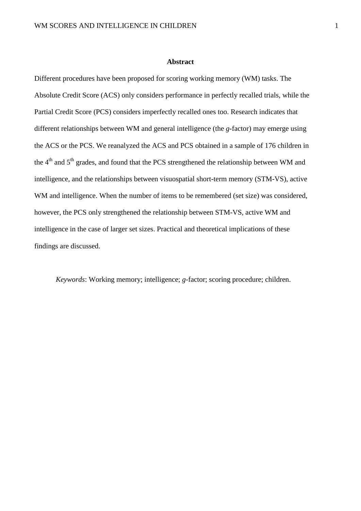#### **Abstract**

Different procedures have been proposed for scoring working memory (WM) tasks. The Absolute Credit Score (ACS) only considers performance in perfectly recalled trials, while the Partial Credit Score (PCS) considers imperfectly recalled ones too. Research indicates that different relationships between WM and general intelligence (the *g*-factor) may emerge using the ACS or the PCS. We reanalyzed the ACS and PCS obtained in a sample of 176 children in the  $4<sup>th</sup>$  and  $5<sup>th</sup>$  grades, and found that the PCS strengthened the relationship between WM and intelligence, and the relationships between visuospatial short-term memory (STM-VS), active WM and intelligence. When the number of items to be remembered (set size) was considered, however, the PCS only strengthened the relationship between STM-VS, active WM and intelligence in the case of larger set sizes. Practical and theoretical implications of these findings are discussed.

*Keywords*: Working memory; intelligence; *g*-factor; scoring procedure; children.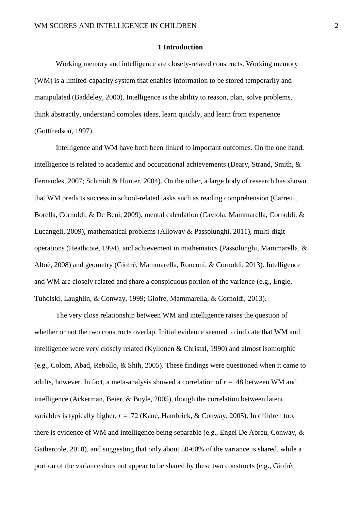#### **1 Introduction**

Working memory and intelligence are closely-related constructs. Working memory (WM) is a limited-capacity system that enables information to be stored temporarily and manipulated (Baddeley, 2000). Intelligence is the ability to reason, plan, solve problems, think abstractly, understand complex ideas, learn quickly, and learn from experience (Gottfredson, 1997).

Intelligence and WM have both been linked to important outcomes. On the one hand, intelligence is related to academic and occupational achievements (Deary, Strand, Smith, & Fernandes, 2007; Schmidt & Hunter, 2004). On the other, a large body of research has shown that WM predicts success in school-related tasks such as reading comprehension (Carretti, Borella, Cornoldi, & De Beni, 2009), mental calculation (Caviola, Mammarella, Cornoldi, & Lucangeli, 2009), mathematical problems (Alloway & Passolunghi, 2011), multi-digit operations (Heathcote, 1994), and achievement in mathematics (Passolunghi, Mammarella, & Altoè, 2008) and geometry (Giofrè, Mammarella, Ronconi, & Cornoldi, 2013). Intelligence and WM are closely related and share a conspicuous portion of the variance (e.g., Engle, Tuholski, Laughlin, & Conway, 1999; Giofrè, Mammarella, & Cornoldi, 2013).

The very close relationship between WM and intelligence raises the question of whether or not the two constructs overlap. Initial evidence seemed to indicate that WM and intelligence were very closely related (Kyllonen & Christal, 1990) and almost isomorphic (e.g., Colom, Abad, Rebollo, & Shih, 2005). These findings were questioned when it came to adults, however. In fact, a meta-analysis showed a correlation of  $r = .48$  between WM and intelligence (Ackerman, Beier, & Boyle, 2005), though the correlation between latent variables is typically higher,  $r = .72$  (Kane, Hambrick, & Conway, 2005). In children too, there is evidence of WM and intelligence being separable (e.g., Engel De Abreu, Conway, & Gathercole, 2010), and suggesting that only about 50-60% of the variance is shared, while a portion of the variance does not appear to be shared by these two constructs (e.g., Giofrè,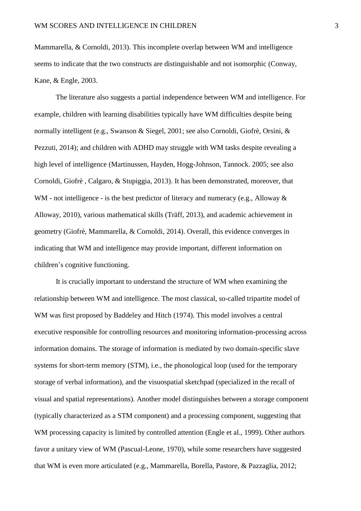Mammarella, & Cornoldi, 2013). This incomplete overlap between WM and intelligence seems to indicate that the two constructs are distinguishable and not isomorphic (Conway, Kane, & Engle, 2003.

The literature also suggests a partial independence between WM and intelligence. For example, children with learning disabilities typically have WM difficulties despite being normally intelligent (e.g., Swanson & Siegel, 2001; see also Cornoldi, Giofrè, Orsini, & Pezzuti, 2014); and children with ADHD may struggle with WM tasks despite revealing a high level of intelligence (Martinussen, Hayden, Hogg-Johnson, Tannock. 2005; see also Cornoldi, Giofrè , Calgaro, & Stupiggia, 2013). It has been demonstrated, moreover, that WM - not intelligence - is the best predictor of literacy and numeracy (e.g., Alloway & Alloway, 2010), various mathematical skills (Träff, 2013), and academic achievement in geometry (Giofrè, Mammarella, & Cornoldi, 2014). Overall, this evidence converges in indicating that WM and intelligence may provide important, different information on children's cognitive functioning.

It is crucially important to understand the structure of WM when examining the relationship between WM and intelligence. The most classical, so-called tripartite model of WM was first proposed by Baddeley and Hitch (1974). This model involves a central executive responsible for controlling resources and monitoring information-processing across information domains. The storage of information is mediated by two domain-specific slave systems for short-term memory (STM), i.e., the phonological loop (used for the temporary storage of verbal information), and the visuospatial sketchpad (specialized in the recall of visual and spatial representations). Another model distinguishes between a storage component (typically characterized as a STM component) and a processing component, suggesting that WM processing capacity is limited by controlled attention (Engle et al., 1999). Other authors favor a unitary view of WM (Pascual-Leone, 1970), while some researchers have suggested that WM is even more articulated (e.g., Mammarella, Borella, Pastore, & Pazzaglia, 2012;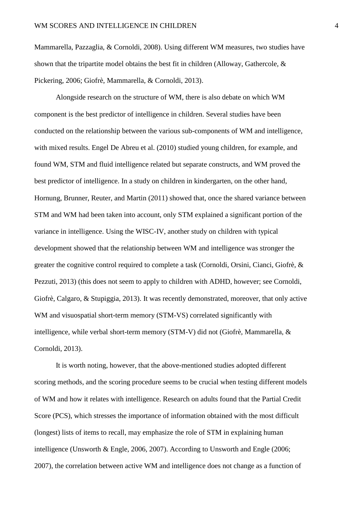Mammarella, Pazzaglia, & Cornoldi, 2008). Using different WM measures, two studies have shown that the tripartite model obtains the best fit in children (Alloway, Gathercole,  $\&$ Pickering, 2006; Giofrè, Mammarella, & Cornoldi, 2013).

Alongside research on the structure of WM, there is also debate on which WM component is the best predictor of intelligence in children. Several studies have been conducted on the relationship between the various sub-components of WM and intelligence, with mixed results. Engel De Abreu et al. (2010) studied young children, for example, and found WM, STM and fluid intelligence related but separate constructs, and WM proved the best predictor of intelligence. In a study on children in kindergarten, on the other hand, Hornung, Brunner, Reuter, and Martin (2011) showed that, once the shared variance between STM and WM had been taken into account, only STM explained a significant portion of the variance in intelligence. Using the WISC-IV, another study on children with typical development showed that the relationship between WM and intelligence was stronger the greater the cognitive control required to complete a task (Cornoldi, Orsini, Cianci, Giofrè, & Pezzuti, 2013) (this does not seem to apply to children with ADHD, however; see Cornoldi, Giofrè, Calgaro, & Stupiggia, 2013). It was recently demonstrated, moreover, that only active WM and visuospatial short-term memory (STM-VS) correlated significantly with intelligence, while verbal short-term memory (STM-V) did not (Giofrè, Mammarella, & Cornoldi, 2013).

It is worth noting, however, that the above-mentioned studies adopted different scoring methods, and the scoring procedure seems to be crucial when testing different models of WM and how it relates with intelligence. Research on adults found that the Partial Credit Score (PCS), which stresses the importance of information obtained with the most difficult (longest) lists of items to recall, may emphasize the role of STM in explaining human intelligence (Unsworth & Engle, 2006, 2007). According to Unsworth and Engle (2006; 2007), the correlation between active WM and intelligence does not change as a function of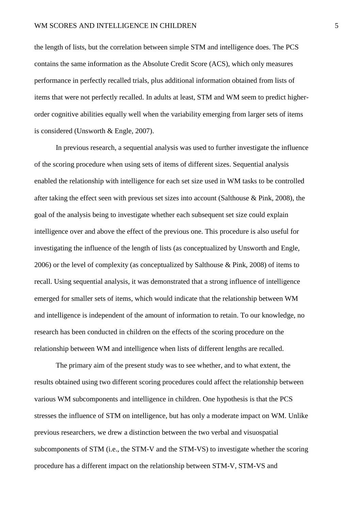the length of lists, but the correlation between simple STM and intelligence does. The PCS contains the same information as the Absolute Credit Score (ACS), which only measures performance in perfectly recalled trials, plus additional information obtained from lists of items that were not perfectly recalled. In adults at least, STM and WM seem to predict higherorder cognitive abilities equally well when the variability emerging from larger sets of items is considered (Unsworth & Engle, 2007).

In previous research, a sequential analysis was used to further investigate the influence of the scoring procedure when using sets of items of different sizes. Sequential analysis enabled the relationship with intelligence for each set size used in WM tasks to be controlled after taking the effect seen with previous set sizes into account (Salthouse & Pink, 2008), the goal of the analysis being to investigate whether each subsequent set size could explain intelligence over and above the effect of the previous one. This procedure is also useful for investigating the influence of the length of lists (as conceptualized by Unsworth and Engle, 2006) or the level of complexity (as conceptualized by Salthouse & Pink, 2008) of items to recall. Using sequential analysis, it was demonstrated that a strong influence of intelligence emerged for smaller sets of items, which would indicate that the relationship between WM and intelligence is independent of the amount of information to retain. To our knowledge, no research has been conducted in children on the effects of the scoring procedure on the relationship between WM and intelligence when lists of different lengths are recalled.

The primary aim of the present study was to see whether, and to what extent, the results obtained using two different scoring procedures could affect the relationship between various WM subcomponents and intelligence in children. One hypothesis is that the PCS stresses the influence of STM on intelligence, but has only a moderate impact on WM. Unlike previous researchers, we drew a distinction between the two verbal and visuospatial subcomponents of STM (i.e., the STM-V and the STM-VS) to investigate whether the scoring procedure has a different impact on the relationship between STM-V, STM-VS and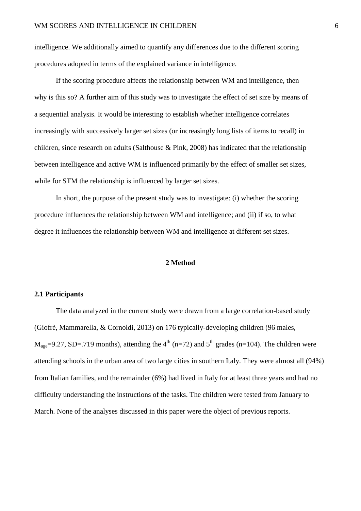intelligence. We additionally aimed to quantify any differences due to the different scoring procedures adopted in terms of the explained variance in intelligence.

If the scoring procedure affects the relationship between WM and intelligence, then why is this so? A further aim of this study was to investigate the effect of set size by means of a sequential analysis. It would be interesting to establish whether intelligence correlates increasingly with successively larger set sizes (or increasingly long lists of items to recall) in children, since research on adults (Salthouse & Pink, 2008) has indicated that the relationship between intelligence and active WM is influenced primarily by the effect of smaller set sizes, while for STM the relationship is influenced by larger set sizes.

In short, the purpose of the present study was to investigate: (i) whether the scoring procedure influences the relationship between WM and intelligence; and (ii) if so, to what degree it influences the relationship between WM and intelligence at different set sizes.

## **2 Method**

#### **2.1 Participants**

The data analyzed in the current study were drawn from a large correlation-based study (Giofrè, Mammarella, & Cornoldi, 2013) on 176 typically-developing children (96 males,  $M_{\text{age}}$ =9.27, SD=.719 months), attending the 4<sup>th</sup> (n=72) and 5<sup>th</sup> grades (n=104). The children were attending schools in the urban area of two large cities in southern Italy. They were almost all (94%) from Italian families, and the remainder (6%) had lived in Italy for at least three years and had no difficulty understanding the instructions of the tasks. The children were tested from January to March. None of the analyses discussed in this paper were the object of previous reports.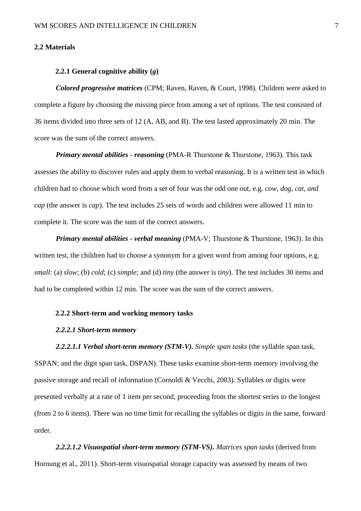#### **2.2 Materials**

#### **2.2.1 General cognitive ability (***g***)**

*Colored progressive matrices* (CPM; Raven, Raven, & Court, 1998)*.* Children were asked to complete a figure by choosing the missing piece from among a set of options. The test consisted of 36 items divided into three sets of 12 (A, AB, and B). The test lasted approximately 20 min. The score was the sum of the correct answers.

*Primary mental abilities - reasoning* (PMA-R Thurstone & Thurstone, 1963)*.* This task assesses the ability to discover rules and apply them to verbal reasoning. It is a written test in which children had to choose which word from a set of four was the odd one out, e.g. *cow, dog, cat, and cap* (the answer is *cap*). The test includes 25 sets of words and children were allowed 11 min to complete it. The score was the sum of the correct answers.

*Primary mental abilities - verbal meaning* (PMA-V; Thurstone & Thurstone, 1963). In this written test, the children had to choose a synonym for a given word from among four options, e.g. *small*: (a) *slow*; (b) *cold*; (c) *simple*; and (d) *tiny* (the answer is *tiny*). The test includes 30 items and had to be completed within 12 min. The score was the sum of the correct answers.

## **2.2.2 Short-term and working memory tasks**

#### *2.2.2.1 Short-term memory*

*2.2.2.1.1 Verbal short-term memory (STM-V). Simple span tasks* (the syllable span task, SSPAN; and the digit span task, DSPAN). These tasks examine short-term memory involving the passive storage and recall of information (Cornoldi & Vecchi, 2003). Syllables or digits were presented verbally at a rate of 1 item per second, proceeding from the shortest series to the longest (from 2 to 6 items). There was no time limit for recalling the syllables or digits in the same, forward order.

*2.2.2.1.2 Visuospatial short-term memory (STM-VS). Matrices span tasks* (derived from Hornung et al., 2011). Short-term visuospatial storage capacity was assessed by means of two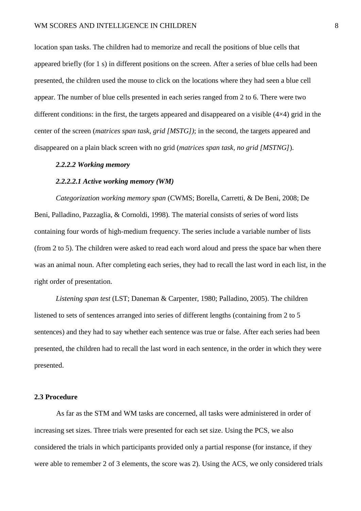location span tasks. The children had to memorize and recall the positions of blue cells that appeared briefly (for 1 s) in different positions on the screen. After a series of blue cells had been presented, the children used the mouse to click on the locations where they had seen a blue cell appear. The number of blue cells presented in each series ranged from 2 to 6. There were two different conditions: in the first, the targets appeared and disappeared on a visible  $(4\times4)$  grid in the center of the screen (*matrices span task, grid [MSTG])*; in the second, the targets appeared and disappeared on a plain black screen with no grid (*matrices span task, no grid [MSTNG]*).

#### *2.2.2.2 Working memory*

#### *2.2.2.2.1 Active working memory (WM)*

*Categorization working memory span* (CWMS; Borella, Carretti, & De Beni, 2008; De Beni, Palladino, Pazzaglia, & Cornoldi, 1998)*.* The material consists of series of word lists containing four words of high-medium frequency. The series include a variable number of lists (from 2 to 5). The children were asked to read each word aloud and press the space bar when there was an animal noun. After completing each series, they had to recall the last word in each list, in the right order of presentation.

*Listening span test* (LST; Daneman & Carpenter, 1980; Palladino, 2005). The children listened to sets of sentences arranged into series of different lengths (containing from 2 to 5 sentences) and they had to say whether each sentence was true or false. After each series had been presented, the children had to recall the last word in each sentence, in the order in which they were presented.

## **2.3 Procedure**

As far as the STM and WM tasks are concerned, all tasks were administered in order of increasing set sizes. Three trials were presented for each set size. Using the PCS, we also considered the trials in which participants provided only a partial response (for instance, if they were able to remember 2 of 3 elements, the score was 2). Using the ACS, we only considered trials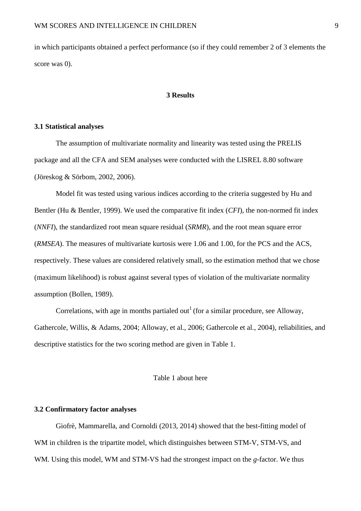in which participants obtained a perfect performance (so if they could remember 2 of 3 elements the score was 0).

#### **3 Results**

## **3.1 Statistical analyses**

The assumption of multivariate normality and linearity was tested using the PRELIS package and all the CFA and SEM analyses were conducted with the LISREL 8.80 software (Jöreskog & Sörbom, 2002, 2006).

Model fit was tested using various indices according to the criteria suggested by Hu and Bentler (Hu & Bentler, 1999). We used the comparative fit index (*CFI*), the non-normed fit index (*NNFI*), the standardized root mean square residual (*SRMR*), and the root mean square error (*RMSEA*). The measures of multivariate kurtosis were 1.06 and 1.00, for the PCS and the ACS, respectively. These values are considered relatively small, so the estimation method that we chose (maximum likelihood) is robust against several types of violation of the multivariate normality assumption (Bollen, 1989).

Correlations, with age in months partialed out<sup>1</sup> (for a similar procedure, see Alloway, Gathercole, Willis, & Adams, 2004; Alloway, et al., 2006; Gathercole et al., 2004), reliabilities, and descriptive statistics for the two scoring method are given in Table 1.

## Table 1 about here

## **3.2 Confirmatory factor analyses**

Giofrè, Mammarella, and Cornoldi (2013, 2014) showed that the best-fitting model of WM in children is the tripartite model, which distinguishes between STM-V, STM-VS, and WM. Using this model, WM and STM-VS had the strongest impact on the *g*-factor. We thus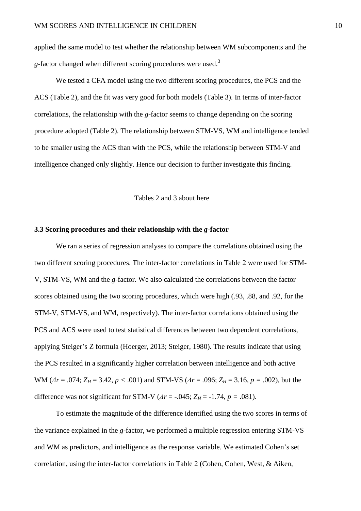applied the same model to test whether the relationship between WM subcomponents and the *g*-factor changed when different scoring procedures were used. 3

We tested a CFA model using the two different scoring procedures, the PCS and the ACS (Table 2), and the fit was very good for both models (Table 3). In terms of inter-factor correlations, the relationship with the *g*-factor seems to change depending on the scoring procedure adopted (Table 2). The relationship between STM-VS, WM and intelligence tended to be smaller using the ACS than with the PCS, while the relationship between STM-V and intelligence changed only slightly. Hence our decision to further investigate this finding.

Tables 2 and 3 about here

#### **3.3 Scoring procedures and their relationship with the** *g***-factor**

We ran a series of regression analyses to compare the correlations obtained using the two different scoring procedures. The inter-factor correlations in Table 2 were used for STM-V, STM-VS, WM and the *g*-factor. We also calculated the correlations between the factor scores obtained using the two scoring procedures, which were high (.93, .88, and .92, for the STM-V, STM-VS, and WM, respectively). The inter-factor correlations obtained using the PCS and ACS were used to test statistical differences between two dependent correlations, applying Steiger's Z formula (Hoerger, 2013; Steiger, 1980). The results indicate that using the PCS resulted in a significantly higher correlation between intelligence and both active WM ( $\Delta r = .074$ ;  $Z_H = 3.42$ ,  $p < .001$ ) and STM-VS ( $\Delta r = .096$ ;  $Z_H = 3.16$ ,  $p = .002$ ), but the difference was not significant for STM-V ( $\Delta r = -.045$ ;  $Z_H = -1.74$ ,  $p = .081$ ).

To estimate the magnitude of the difference identified using the two scores in terms of the variance explained in the *g*-factor, we performed a multiple regression entering STM-VS and WM as predictors, and intelligence as the response variable. We estimated Cohen's set correlation, using the inter-factor correlations in Table 2 (Cohen, Cohen, West, & Aiken,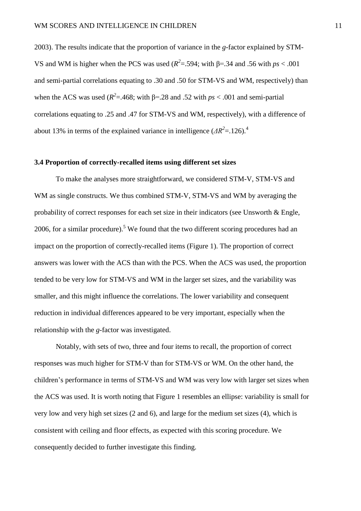2003). The results indicate that the proportion of variance in the *g*-factor explained by STM-VS and WM is higher when the PCS was used ( $R^2 = 0.594$ ; with  $\beta = 0.34$  and  $0.56$  with  $ps < 0.001$ and semi-partial correlations equating to .30 and .50 for STM-VS and WM, respectively) than when the ACS was used ( $R^2 = 0.468$ ; with  $\beta = 0.28$  and  $0.52$  with  $ps < 0.001$  and semi-partial correlations equating to .25 and .47 for STM-VS and WM, respectively), with a difference of about 13% in terms of the explained variance in intelligence  $(A R^2 = 126)$ .<sup>4</sup>

#### **3.4 Proportion of correctly-recalled items using different set sizes**

To make the analyses more straightforward, we considered STM-V, STM-VS and WM as single constructs. We thus combined STM-V, STM-VS and WM by averaging the probability of correct responses for each set size in their indicators (see Unsworth & Engle, 2006, for a similar procedure).<sup>5</sup> We found that the two different scoring procedures had an impact on the proportion of correctly-recalled items (Figure 1). The proportion of correct answers was lower with the ACS than with the PCS. When the ACS was used, the proportion tended to be very low for STM-VS and WM in the larger set sizes, and the variability was smaller, and this might influence the correlations. The lower variability and consequent reduction in individual differences appeared to be very important, especially when the relationship with the *g*-factor was investigated.

Notably, with sets of two, three and four items to recall, the proportion of correct responses was much higher for STM-V than for STM-VS or WM. On the other hand, the children's performance in terms of STM-VS and WM was very low with larger set sizes when the ACS was used. It is worth noting that Figure 1 resembles an ellipse: variability is small for very low and very high set sizes (2 and 6), and large for the medium set sizes (4), which is consistent with ceiling and floor effects, as expected with this scoring procedure. We consequently decided to further investigate this finding.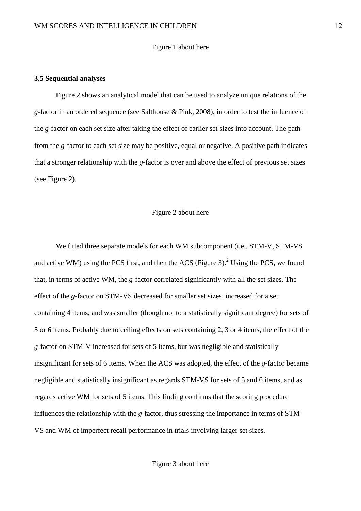#### Figure 1 about here

#### **3.5 Sequential analyses**

Figure 2 shows an analytical model that can be used to analyze unique relations of the *g*-factor in an ordered sequence (see Salthouse & Pink, 2008), in order to test the influence of the *g*-factor on each set size after taking the effect of earlier set sizes into account. The path from the *g*-factor to each set size may be positive, equal or negative. A positive path indicates that a stronger relationship with the *g*-factor is over and above the effect of previous set sizes (see Figure 2).

#### Figure 2 about here

We fitted three separate models for each WM subcomponent (i.e., STM-V, STM-VS and active WM) using the PCS first, and then the ACS (Figure 3).<sup>2</sup> Using the PCS, we found that, in terms of active WM, the *g*-factor correlated significantly with all the set sizes. The effect of the *g*-factor on STM-VS decreased for smaller set sizes, increased for a set containing 4 items, and was smaller (though not to a statistically significant degree) for sets of 5 or 6 items. Probably due to ceiling effects on sets containing 2, 3 or 4 items, the effect of the *g*-factor on STM-V increased for sets of 5 items, but was negligible and statistically insignificant for sets of 6 items. When the ACS was adopted, the effect of the *g*-factor became negligible and statistically insignificant as regards STM-VS for sets of 5 and 6 items, and as regards active WM for sets of 5 items. This finding confirms that the scoring procedure influences the relationship with the *g*-factor, thus stressing the importance in terms of STM-VS and WM of imperfect recall performance in trials involving larger set sizes.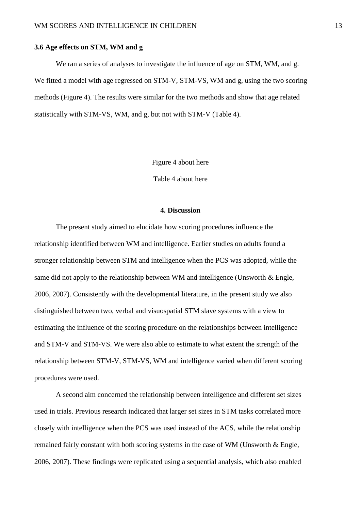# **3.6 Age effects on STM, WM and g**

We ran a series of analyses to investigate the influence of age on STM, WM, and g. We fitted a model with age regressed on STM-V, STM-VS, WM and g, using the two scoring methods (Figure 4). The results were similar for the two methods and show that age related statistically with STM-VS, WM, and g, but not with STM-V (Table 4).

Figure 4 about here

Table 4 about here

## **4. Discussion**

The present study aimed to elucidate how scoring procedures influence the relationship identified between WM and intelligence. Earlier studies on adults found a stronger relationship between STM and intelligence when the PCS was adopted, while the same did not apply to the relationship between WM and intelligence (Unsworth & Engle, 2006, 2007). Consistently with the developmental literature, in the present study we also distinguished between two, verbal and visuospatial STM slave systems with a view to estimating the influence of the scoring procedure on the relationships between intelligence and STM-V and STM-VS. We were also able to estimate to what extent the strength of the relationship between STM-V, STM-VS, WM and intelligence varied when different scoring procedures were used.

A second aim concerned the relationship between intelligence and different set sizes used in trials. Previous research indicated that larger set sizes in STM tasks correlated more closely with intelligence when the PCS was used instead of the ACS, while the relationship remained fairly constant with both scoring systems in the case of WM (Unsworth & Engle, 2006, 2007). These findings were replicated using a sequential analysis, which also enabled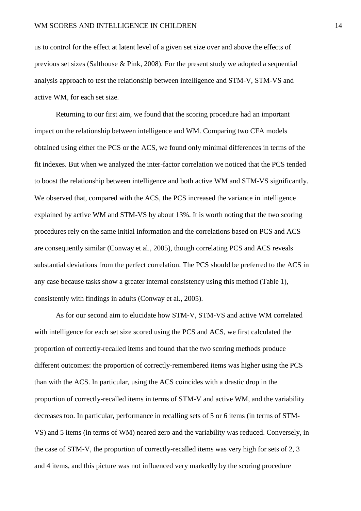us to control for the effect at latent level of a given set size over and above the effects of previous set sizes (Salthouse & Pink, 2008). For the present study we adopted a sequential analysis approach to test the relationship between intelligence and STM-V, STM-VS and active WM, for each set size.

Returning to our first aim, we found that the scoring procedure had an important impact on the relationship between intelligence and WM. Comparing two CFA models obtained using either the PCS or the ACS, we found only minimal differences in terms of the fit indexes. But when we analyzed the inter-factor correlation we noticed that the PCS tended to boost the relationship between intelligence and both active WM and STM-VS significantly. We observed that, compared with the ACS, the PCS increased the variance in intelligence explained by active WM and STM-VS by about 13%. It is worth noting that the two scoring procedures rely on the same initial information and the correlations based on PCS and ACS are consequently similar (Conway et al., 2005), though correlating PCS and ACS reveals substantial deviations from the perfect correlation. The PCS should be preferred to the ACS in any case because tasks show a greater internal consistency using this method (Table 1), consistently with findings in adults (Conway et al., 2005).

As for our second aim to elucidate how STM-V, STM-VS and active WM correlated with intelligence for each set size scored using the PCS and ACS, we first calculated the proportion of correctly-recalled items and found that the two scoring methods produce different outcomes: the proportion of correctly-remembered items was higher using the PCS than with the ACS. In particular, using the ACS coincides with a drastic drop in the proportion of correctly-recalled items in terms of STM-V and active WM, and the variability decreases too. In particular, performance in recalling sets of 5 or 6 items (in terms of STM-VS) and 5 items (in terms of WM) neared zero and the variability was reduced. Conversely, in the case of STM-V, the proportion of correctly-recalled items was very high for sets of 2, 3 and 4 items, and this picture was not influenced very markedly by the scoring procedure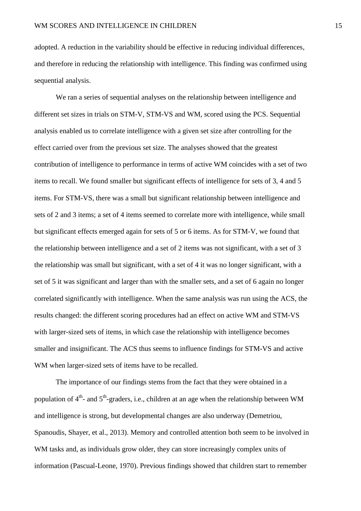adopted. A reduction in the variability should be effective in reducing individual differences, and therefore in reducing the relationship with intelligence. This finding was confirmed using sequential analysis.

We ran a series of sequential analyses on the relationship between intelligence and different set sizes in trials on STM-V, STM-VS and WM, scored using the PCS. Sequential analysis enabled us to correlate intelligence with a given set size after controlling for the effect carried over from the previous set size. The analyses showed that the greatest contribution of intelligence to performance in terms of active WM coincides with a set of two items to recall. We found smaller but significant effects of intelligence for sets of 3, 4 and 5 items. For STM-VS, there was a small but significant relationship between intelligence and sets of 2 and 3 items; a set of 4 items seemed to correlate more with intelligence, while small but significant effects emerged again for sets of 5 or 6 items. As for STM-V, we found that the relationship between intelligence and a set of 2 items was not significant, with a set of 3 the relationship was small but significant, with a set of 4 it was no longer significant, with a set of 5 it was significant and larger than with the smaller sets, and a set of 6 again no longer correlated significantly with intelligence. When the same analysis was run using the ACS, the results changed: the different scoring procedures had an effect on active WM and STM-VS with larger-sized sets of items, in which case the relationship with intelligence becomes smaller and insignificant. The ACS thus seems to influence findings for STM-VS and active WM when larger-sized sets of items have to be recalled.

The importance of our findings stems from the fact that they were obtained in a population of  $4<sup>th</sup>$ - and  $5<sup>th</sup>$ -graders, i.e., children at an age when the relationship between WM and intelligence is strong, but developmental changes are also underway (Demetriou, Spanoudis, Shayer, et al., 2013). Memory and controlled attention both seem to be involved in WM tasks and, as individuals grow older, they can store increasingly complex units of information (Pascual-Leone, 1970). Previous findings showed that children start to remember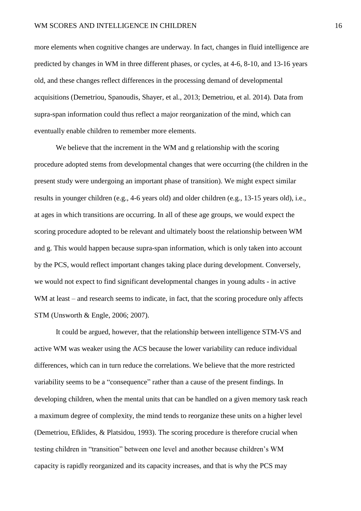more elements when cognitive changes are underway. In fact, changes in fluid intelligence are predicted by changes in WM in three different phases, or cycles, at 4-6, 8-10, and 13-16 years old, and these changes reflect differences in the processing demand of developmental acquisitions (Demetriou, Spanoudis, Shayer, et al., 2013; Demetriou, et al. 2014). Data from supra-span information could thus reflect a major reorganization of the mind, which can eventually enable children to remember more elements.

We believe that the increment in the WM and g relationship with the scoring procedure adopted stems from developmental changes that were occurring (the children in the present study were undergoing an important phase of transition). We might expect similar results in younger children (e.g., 4-6 years old) and older children (e.g., 13-15 years old), i.e., at ages in which transitions are occurring. In all of these age groups, we would expect the scoring procedure adopted to be relevant and ultimately boost the relationship between WM and g. This would happen because supra-span information, which is only taken into account by the PCS, would reflect important changes taking place during development. Conversely, we would not expect to find significant developmental changes in young adults - in active WM at least – and research seems to indicate, in fact, that the scoring procedure only affects STM (Unsworth & Engle, 2006; 2007).

It could be argued, however, that the relationship between intelligence STM-VS and active WM was weaker using the ACS because the lower variability can reduce individual differences, which can in turn reduce the correlations. We believe that the more restricted variability seems to be a "consequence" rather than a cause of the present findings. In developing children, when the mental units that can be handled on a given memory task reach a maximum degree of complexity, the mind tends to reorganize these units on a higher level (Demetriou, Efklides, & Platsidou, 1993). The scoring procedure is therefore crucial when testing children in "transition" between one level and another because children's WM capacity is rapidly reorganized and its capacity increases, and that is why the PCS may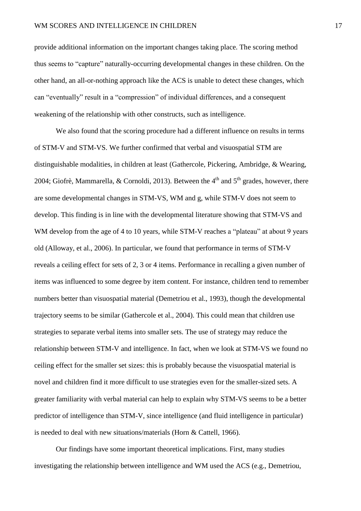provide additional information on the important changes taking place. The scoring method thus seems to "capture" naturally-occurring developmental changes in these children. On the other hand, an all-or-nothing approach like the ACS is unable to detect these changes, which can "eventually" result in a "compression" of individual differences, and a consequent weakening of the relationship with other constructs, such as intelligence.

We also found that the scoring procedure had a different influence on results in terms of STM-V and STM-VS. We further confirmed that verbal and visuospatial STM are distinguishable modalities, in children at least (Gathercole, Pickering, Ambridge, & Wearing, 2004; Giofrè, Mammarella, & Cornoldi, 2013). Between the  $4<sup>th</sup>$  and  $5<sup>th</sup>$  grades, however, there are some developmental changes in STM-VS, WM and g, while STM-V does not seem to develop. This finding is in line with the developmental literature showing that STM-VS and WM develop from the age of 4 to 10 years, while STM-V reaches a "plateau" at about 9 years old (Alloway, et al., 2006). In particular, we found that performance in terms of STM-V reveals a ceiling effect for sets of 2, 3 or 4 items. Performance in recalling a given number of items was influenced to some degree by item content. For instance, children tend to remember numbers better than visuospatial material (Demetriou et al., 1993), though the developmental trajectory seems to be similar (Gathercole et al., 2004). This could mean that children use strategies to separate verbal items into smaller sets. The use of strategy may reduce the relationship between STM-V and intelligence. In fact, when we look at STM-VS we found no ceiling effect for the smaller set sizes: this is probably because the visuospatial material is novel and children find it more difficult to use strategies even for the smaller-sized sets. A greater familiarity with verbal material can help to explain why STM-VS seems to be a better predictor of intelligence than STM-V, since intelligence (and fluid intelligence in particular) is needed to deal with new situations/materials (Horn & Cattell, 1966).

Our findings have some important theoretical implications. First, many studies investigating the relationship between intelligence and WM used the ACS (e.g., Demetriou,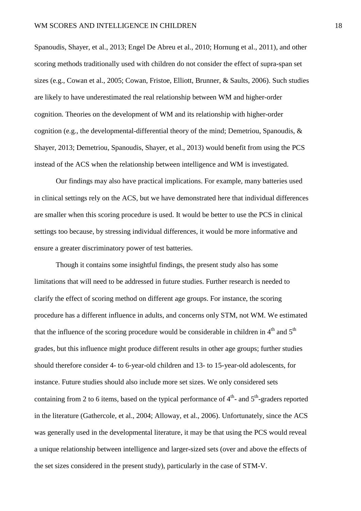Spanoudis, Shayer, et al., 2013; Engel De Abreu et al., 2010; Hornung et al., 2011), and other scoring methods traditionally used with children do not consider the effect of supra-span set sizes (e.g., Cowan et al., 2005; Cowan, Fristoe, Elliott, Brunner, & Saults, 2006). Such studies are likely to have underestimated the real relationship between WM and higher-order cognition. Theories on the development of WM and its relationship with higher-order cognition (e.g., the developmental-differential theory of the mind; Demetriou, Spanoudis, & Shayer, 2013; Demetriou, Spanoudis, Shayer, et al., 2013) would benefit from using the PCS instead of the ACS when the relationship between intelligence and WM is investigated.

Our findings may also have practical implications. For example, many batteries used in clinical settings rely on the ACS, but we have demonstrated here that individual differences are smaller when this scoring procedure is used. It would be better to use the PCS in clinical settings too because, by stressing individual differences, it would be more informative and ensure a greater discriminatory power of test batteries.

Though it contains some insightful findings, the present study also has some limitations that will need to be addressed in future studies. Further research is needed to clarify the effect of scoring method on different age groups. For instance, the scoring procedure has a different influence in adults, and concerns only STM, not WM. We estimated that the influence of the scoring procedure would be considerable in children in  $4<sup>th</sup>$  and  $5<sup>th</sup>$ grades, but this influence might produce different results in other age groups; further studies should therefore consider 4- to 6-year-old children and 13- to 15-year-old adolescents, for instance. Future studies should also include more set sizes. We only considered sets containing from 2 to 6 items, based on the typical performance of  $4<sup>th</sup>$ - and  $5<sup>th</sup>$ -graders reported in the literature (Gathercole, et al., 2004; Alloway, et al., 2006). Unfortunately, since the ACS was generally used in the developmental literature, it may be that using the PCS would reveal a unique relationship between intelligence and larger-sized sets (over and above the effects of the set sizes considered in the present study), particularly in the case of STM-V.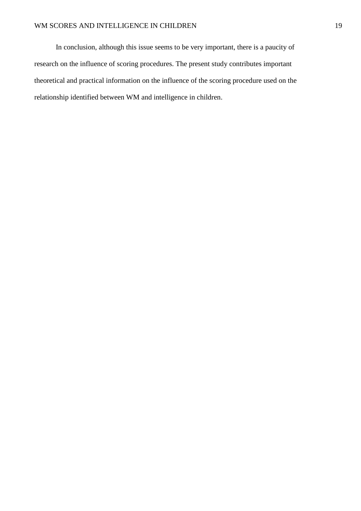In conclusion, although this issue seems to be very important, there is a paucity of research on the influence of scoring procedures. The present study contributes important theoretical and practical information on the influence of the scoring procedure used on the relationship identified between WM and intelligence in children.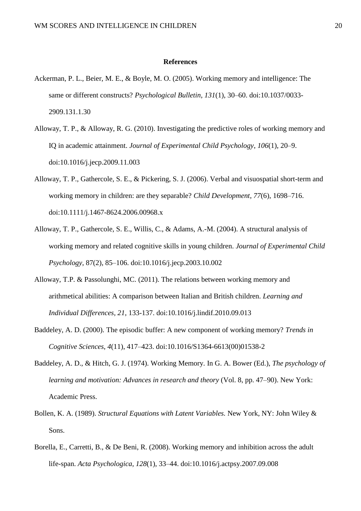#### **References**

- Ackerman, P. L., Beier, M. E., & Boyle, M. O. (2005). Working memory and intelligence: The same or different constructs? *Psychological Bulletin, 131*(1), 30–60. doi:10.1037/0033- 2909.131.1.30
- Alloway, T. P., & Alloway, R. G. (2010). Investigating the predictive roles of working memory and IQ in academic attainment. *Journal of Experimental Child Psychology*, *106*(1), 20–9. doi:10.1016/j.jecp.2009.11.003
- Alloway, T. P., Gathercole, S. E., & Pickering, S. J. (2006). Verbal and visuospatial short-term and working memory in children: are they separable? *Child Development*, *77*(6), 1698–716. doi:10.1111/j.1467-8624.2006.00968.x
- Alloway, T. P., Gathercole, S. E., Willis, C., & Adams, A.-M. (2004). A structural analysis of working memory and related cognitive skills in young children. *Journal of Experimental Child Psychology*, 87(2), 85–106. doi:10.1016/j.jecp.2003.10.002
- Alloway, T.P. & Passolunghi, MC. (2011). The relations between working memory and arithmetical abilities: A comparison between Italian and British children. *Learning and Individual Differences, 21*, 133-137. doi:10.1016/j.lindif.2010.09.013
- Baddeley, A. D. (2000). The episodic buffer: A new component of working memory? *Trends in Cognitive Sciences*, *4*(11), 417–423. doi:10.1016/S1364-6613(00)01538-2
- Baddeley, A. D., & Hitch, G. J. (1974). Working Memory. In G. A. Bower (Ed.), *The psychology of learning and motivation: Advances in research and theory* (Vol. 8, pp. 47–90). New York: Academic Press.
- Bollen, K. A. (1989). *Structural Equations with Latent Variables.* New York, NY: John Wiley & Sons.
- Borella, E., Carretti, B., & De Beni, R. (2008). Working memory and inhibition across the adult life-span. *Acta Psychologica*, *128*(1), 33–44. doi:10.1016/j.actpsy.2007.09.008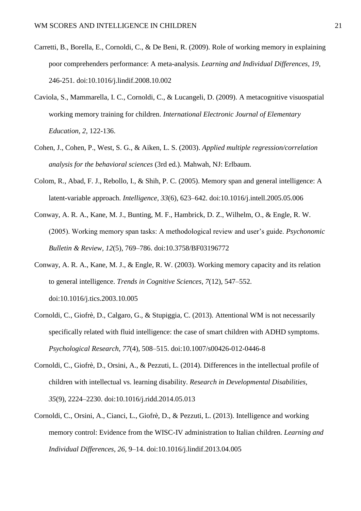- Carretti, B., Borella, E., Cornoldi, C., & De Beni, R. (2009). Role of working memory in explaining poor comprehenders performance: A meta-analysis. *Learning and Individual Differences, 19*, 246-251. doi:10.1016/j.lindif.2008.10.002
- Caviola, S., Mammarella, I. C., Cornoldi, C., & Lucangeli, D. (2009). A metacognitive visuospatial working memory training for children. *International Electronic Journal of Elementary Education, 2*, 122-136.
- Cohen, J., Cohen, P., West, S. G., & Aiken, L. S. (2003). *Applied multiple regression/correlation analysis for the behavioral sciences* (3rd ed.). Mahwah, NJ: Erlbaum.
- Colom, R., Abad, F. J., Rebollo, I., & Shih, P. C. (2005). Memory span and general intelligence: A latent-variable approach. *Intelligence, 33*(6), 623–642. doi:10.1016/j.intell.2005.05.006
- Conway, A. R. A., Kane, M. J., Bunting, M. F., Hambrick, D. Z., Wilhelm, O., & Engle, R. W. (2005). Working memory span tasks: A methodological review and user's guide. *Psychonomic Bulletin & Review, 12*(5), 769–786. doi:10.3758/BF03196772
- Conway, A. R. A., Kane, M. J., & Engle, R. W. (2003). Working memory capacity and its relation to general intelligence. *Trends in Cognitive Sciences*, *7*(12), 547–552. doi:10.1016/j.tics.2003.10.005
- Cornoldi, C., Giofrè, D., Calgaro, G., & Stupiggia, C. (2013). Attentional WM is not necessarily specifically related with fluid intelligence: the case of smart children with ADHD symptoms. *Psychological Research*, *77*(4), 508–515. doi:10.1007/s00426-012-0446-8
- Cornoldi, C., Giofrè, D., Orsini, A., & Pezzuti, L. (2014). Differences in the intellectual profile of children with intellectual vs. learning disability. *Research in Developmental Disabilities, 35*(9), 2224–2230. doi:10.1016/j.ridd.2014.05.013
- Cornoldi, C., Orsini, A., Cianci, L., Giofrè, D., & Pezzuti, L. (2013). Intelligence and working memory control: Evidence from the WISC-IV administration to Italian children. *Learning and Individual Differences*, *26*, 9–14. doi:10.1016/j.lindif.2013.04.005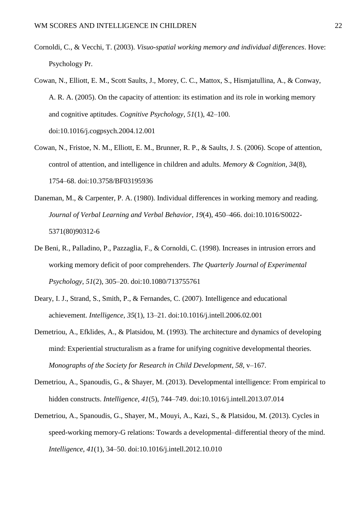- Cornoldi, C., & Vecchi, T. (2003). *Visuo-spatial working memory and individual differences*. Hove: Psychology Pr.
- Cowan, N., Elliott, E. M., Scott Saults, J., Morey, C. C., Mattox, S., Hismjatullina, A., & Conway, A. R. A. (2005). On the capacity of attention: its estimation and its role in working memory and cognitive aptitudes. *Cognitive Psychology*, *51*(1), 42–100. doi:10.1016/j.cogpsych.2004.12.001
- Cowan, N., Fristoe, N. M., Elliott, E. M., Brunner, R. P., & Saults, J. S. (2006). Scope of attention, control of attention, and intelligence in children and adults. *Memory & Cognition*, *34*(8), 1754–68. doi:10.3758/BF03195936
- Daneman, M., & Carpenter, P. A. (1980). Individual differences in working memory and reading. *Journal of Verbal Learning and Verbal Behavior*, *19*(4), 450–466. doi:10.1016/S0022- 5371(80)90312-6
- De Beni, R., Palladino, P., Pazzaglia, F., & Cornoldi, C. (1998). Increases in intrusion errors and working memory deficit of poor comprehenders. *The Quarterly Journal of Experimental Psychology*, *51*(2), 305–20. doi:10.1080/713755761
- Deary, I. J., Strand, S., Smith, P., & Fernandes, C. (2007). Intelligence and educational achievement. *Intelligence*, *35*(1), 13–21. doi:10.1016/j.intell.2006.02.001
- Demetriou, A., Efklides, A., & Platsidou, M. (1993). The architecture and dynamics of developing mind: Experiential structuralism as a frame for unifying cognitive developmental theories. *Monographs of the Society for Research in Child Development*, *58*, v–167.
- Demetriou, A., Spanoudis, G., & Shayer, M. (2013). Developmental intelligence: From empirical to hidden constructs. *Intelligence*, *41*(5), 744–749. doi:10.1016/j.intell.2013.07.014
- Demetriou, A., Spanoudis, G., Shayer, M., Mouyi, A., Kazi, S., & Platsidou, M. (2013). Cycles in speed-working memory-G relations: Towards a developmental–differential theory of the mind. *Intelligence*, *41*(1), 34–50. doi:10.1016/j.intell.2012.10.010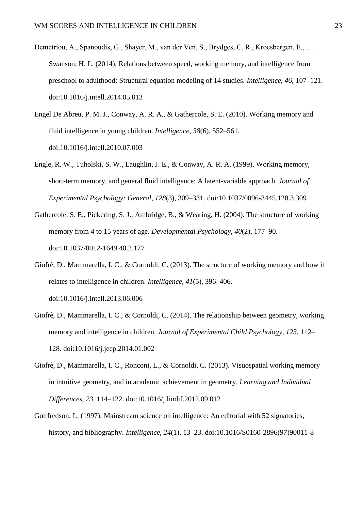- Demetriou, A., Spanoudis, G., Shayer, M., van der Ven, S., Brydges, C. R., Kroesbergen, E., … Swanson, H. L. (2014). Relations between speed, working memory, and intelligence from preschool to adulthood: Structural equation modeling of 14 studies. *Intelligence, 46*, 107–121. doi:10.1016/j.intell.2014.05.013
- Engel De Abreu, P. M. J., Conway, A. R. A., & Gathercole, S. E. (2010). Working memory and fluid intelligence in young children. *Intelligence*, *38*(6), 552–561. doi:10.1016/j.intell.2010.07.003
- Engle, R. W., Tuholski, S. W., Laughlin, J. E., & Conway, A. R. A. (1999). Working memory, short-term memory, and general fluid intelligence: A latent-variable approach. *Journal of Experimental Psychology: General*, *128*(3), 309–331. doi:10.1037/0096-3445.128.3.309
- Gathercole, S. E., Pickering, S. J., Ambridge, B., & Wearing, H. (2004). The structure of working memory from 4 to 15 years of age. *Developmental Psychology*, *40*(2), 177–90. doi:10.1037/0012-1649.40.2.177
- Giofrè, D., Mammarella, I. C., & Cornoldi, C. (2013). The structure of working memory and how it relates to intelligence in children. *Intelligence*, *41*(5), 396–406. doi:10.1016/j.intell.2013.06.006
- Giofrè, D., Mammarella, I. C., & Cornoldi, C. (2014). The relationship between geometry, working memory and intelligence in children. *Journal of Experimental Child Psychology, 123*, 112– 128. doi:10.1016/j.jecp.2014.01.002
- Giofrè, D., Mammarella, I. C., Ronconi, L., & Cornoldi, C. (2013). Visuospatial working memory in intuitive geometry, and in academic achievement in geometry. *Learning and Individual Differences*, *23*, 114–122. doi:10.1016/j.lindif.2012.09.012
- Gottfredson, L. (1997). Mainstream science on intelligence: An editorial with 52 signatories, history, and bibliography. *Intelligence*, *24*(1), 13–23. doi:10.1016/S0160-2896(97)90011-8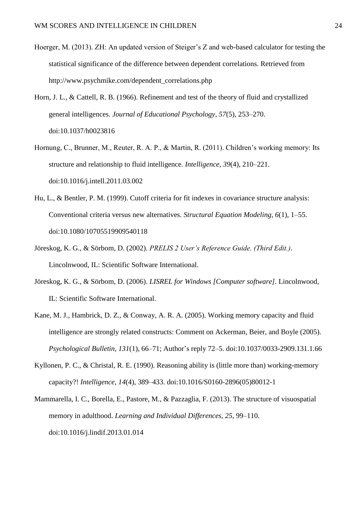- Hoerger, M. (2013). ZH: An updated version of Steiger's Z and web-based calculator for testing the statistical significance of the difference between dependent correlations. Retrieved from http://www.psychmike.com/dependent\_correlations.php
- Horn, J. L., & Cattell, R. B. (1966). Refinement and test of the theory of fluid and crystallized general intelligences. *Journal of Educational Psychology*, *57*(5), 253–270. doi:10.1037/h0023816
- Hornung, C., Brunner, M., Reuter, R. A. P., & Martin, R. (2011). Children's working memory: Its structure and relationship to fluid intelligence. *Intelligence*, *39*(4), 210–221. doi:10.1016/j.intell.2011.03.002
- Hu, L., & Bentler, P. M. (1999). Cutoff criteria for fit indexes in covariance structure analysis: Conventional criteria versus new alternatives. *Structural Equation Modeling*, *6*(1), 1–55. doi:10.1080/10705519909540118
- Jöreskog, K. G., & Sörbom, D. (2002). *PRELIS 2 User's Reference Guide. (Third Edit.)*. Lincolnwood, IL: Scientific Software International.
- Jöreskog, K. G., & Sörbom, D. (2006). *LISREL for Windows [Computer software].* Lincolnwood, IL: Scientific Software International.
- Kane, M. J., Hambrick, D. Z., & Conway, A. R. A. (2005). Working memory capacity and fluid intelligence are strongly related constructs: Comment on Ackerman, Beier, and Boyle (2005). *Psychological Bulletin, 131*(1), 66–71; Author's reply 72–5. doi:10.1037/0033-2909.131.1.66
- Kyllonen, P. C., & Christal, R. E. (1990). Reasoning ability is (little more than) working-memory capacity?! *Intelligence*, *14*(4), 389–433. doi:10.1016/S0160-2896(05)80012-1
- Mammarella, I. C., Borella, E., Pastore, M., & Pazzaglia, F. (2013). The structure of visuospatial memory in adulthood. *Learning and Individual Differences, 25*, 99–110. doi:10.1016/j.lindif.2013.01.014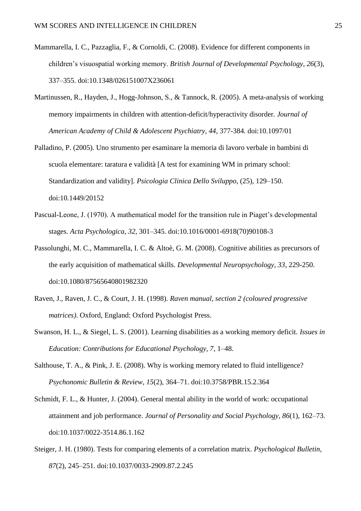- Mammarella, I. C., Pazzaglia, F., & Cornoldi, C. (2008). Evidence for different components in children's visuospatial working memory. *British Journal of Developmental Psychology*, *26*(3), 337–355. doi:10.1348/026151007X236061
- Martinussen, R., Hayden, J., Hogg-Johnson, S., & Tannock, R. (2005). A meta-analysis of working memory impairments in children with attention-deficit/hyperactivity disorder. *Journal of American Academy of Child & Adolescent Psychiatry, 44*, 377-384. doi:10.1097/01
- Palladino, P. (2005). Uno strumento per esaminare la memoria di lavoro verbale in bambini di scuola elementare: taratura e validità [A test for examining WM in primary school: Standardization and validity]. *Psicologia Clinica Dello Sviluppo*, (25), 129–150. doi:10.1449/20152
- Pascual-Leone, J. (1970). A mathematical model for the transition rule in Piaget's developmental stages. *Acta Psychologica*, *32*, 301–345. doi:10.1016/0001-6918(70)90108-3
- Passolunghi, M. C., Mammarella, I. C. & Altoè, G. M. (2008). Cognitive abilities as precursors of the early acquisition of mathematical skills. *Developmental Neuropsychology, 33*, 229-250. doi:10.1080/87565640801982320
- Raven, J., Raven, J. C., & Court, J. H. (1998). *Raven manual, section 2 (coloured progressive matrices)*. Oxford, England: Oxford Psychologist Press.
- Swanson, H. L., & Siegel, L. S. (2001). Learning disabilities as a working memory deficit. *Issues in Education: Contributions for Educational Psychology, 7*, 1–48.
- Salthouse, T. A., & Pink, J. E. (2008). Why is working memory related to fluid intelligence? *Psychonomic Bulletin & Review*, *15*(2), 364–71. doi:10.3758/PBR.15.2.364
- Schmidt, F. L., & Hunter, J. (2004). General mental ability in the world of work: occupational attainment and job performance. *Journal of Personality and Social Psychology*, *86*(1), 162–73. doi:10.1037/0022-3514.86.1.162
- Steiger, J. H. (1980). Tests for comparing elements of a correlation matrix. *Psychological Bulletin*, *87*(2), 245–251. doi:10.1037/0033-2909.87.2.245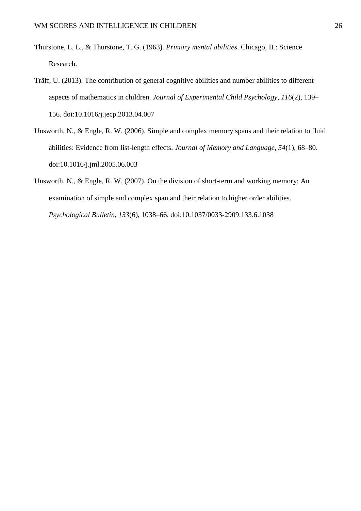- Thurstone, L. L., & Thurstone, T. G. (1963). *Primary mental abilities*. Chicago, IL: Science Research.
- Träff, U. (2013). The contribution of general cognitive abilities and number abilities to different aspects of mathematics in children. *Journal of Experimental Child Psychology*, *116*(2), 139– 156. doi:10.1016/j.jecp.2013.04.007
- Unsworth, N., & Engle, R. W. (2006). Simple and complex memory spans and their relation to fluid abilities: Evidence from list-length effects. *Journal of Memory and Language*, *54*(1), 68–80. doi:10.1016/j.jml.2005.06.003
- Unsworth, N., & Engle, R. W. (2007). On the division of short-term and working memory: An examination of simple and complex span and their relation to higher order abilities. *Psychological Bulletin*, *133*(6), 1038–66. doi:10.1037/0033-2909.133.6.1038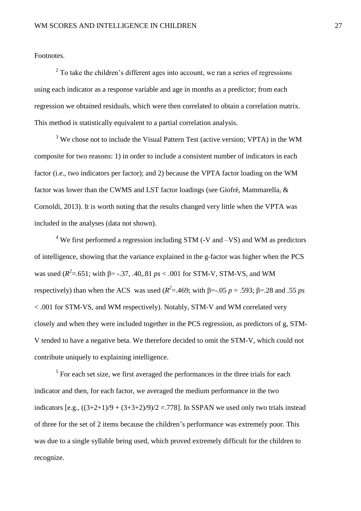Footnotes.

 $2^2$  To take the children's different ages into account, we ran a series of regressions using each indicator as a response variable and age in months as a predictor; from each regression we obtained residuals, which were then correlated to obtain a correlation matrix. This method is statistically equivalent to a partial correlation analysis.

<sup>3</sup> We chose not to include the Visual Pattern Test (active version; VPTA) in the WM composite for two reasons: 1) in order to include a consistent number of indicators in each factor (i.e., two indicators per factor); and 2) because the VPTA factor loading on the WM factor was lower than the CWMS and LST factor loadings (see Giofrè, Mammarella, & Cornoldi, 2013). It is worth noting that the results changed very little when the VPTA was included in the analyses (data not shown).

 $4$  We first performed a regression including STM (-V and –VS) and WM as predictors of intelligence, showing that the variance explained in the g-factor was higher when the PCS was used ( $R^2$ =.651; with  $\beta$ = -.37, .40,.81 *ps* < .001 for STM-V, STM-VS, and WM respectively) than when the ACS was used ( $R^2$ =.469; with β=-.05 *p* = .593; β=.28 and .55 *ps* < .001 for STM-VS, and WM respectively). Notably, STM-V and WM correlated very closely and when they were included together in the PCS regression, as predictors of g, STM-V tended to have a negative beta. We therefore decided to omit the STM-V, which could not contribute uniquely to explaining intelligence.

 $<sup>5</sup>$  For each set size, we first averaged the performances in the three trials for each</sup> indicator and then, for each factor, we averaged the medium performance in the two indicators [e.g.,  $((3+2+1)/9 + (3+3+2)/9)/2 = .778$ ]. In SSPAN we used only two trials instead of three for the set of 2 items because the children's performance was extremely poor. This was due to a single syllable being used, which proved extremely difficult for the children to recognize.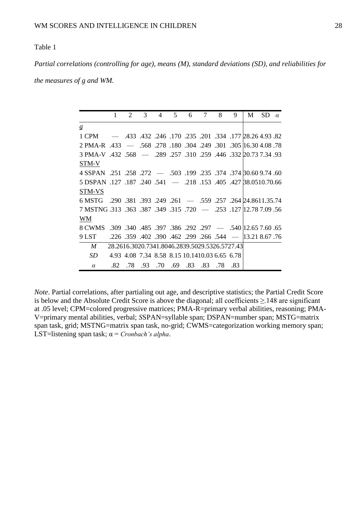# Table 1

*Partial correlations (controlling for age), means (M), standard deviations (SD), and reliabilities for the measures of g and WM.*

|                                                                              |                                               |  |  | $1 \t2 \t3 \t4 \t5 \t6 \t7 \t8$               |  | 9 <sub>1</sub> | $M$ SD $\alpha$ |  |
|------------------------------------------------------------------------------|-----------------------------------------------|--|--|-----------------------------------------------|--|----------------|-----------------|--|
| $\mathcal{S}$                                                                |                                               |  |  |                                               |  |                |                 |  |
| 28.26 4.93 82 177 28.26 177 28.26 179 235 170 235 201                        |                                               |  |  |                                               |  |                |                 |  |
|                                                                              |                                               |  |  |                                               |  |                |                 |  |
|                                                                              |                                               |  |  |                                               |  |                |                 |  |
| STM-V                                                                        |                                               |  |  |                                               |  |                |                 |  |
| 60. 9.74. 374 30.60 3.74. 374. 375. 199. 503. -- 272. 258. 251. 258. 4 SSPAN |                                               |  |  |                                               |  |                |                 |  |
| 5 DSPAN .127 .187 .240 .541 - .218 .153 .405 .427 38.0510.70.66              |                                               |  |  |                                               |  |                |                 |  |
| STM-VS                                                                       |                                               |  |  |                                               |  |                |                 |  |
| 6 MSTG .290 .381 .393 .249 .261 - .559 .257 .264 24.8611.35.74               |                                               |  |  |                                               |  |                |                 |  |
| 7 MSTNG .313 .363 .387 .349 .315 .720 - .253 .127  12.78 7.09 .56            |                                               |  |  |                                               |  |                |                 |  |
| <b>WM</b>                                                                    |                                               |  |  |                                               |  |                |                 |  |
| 8 CWMS .309 .340 .485 .397 .386 .292 .297 - .540 .65 .65 .60 .65             |                                               |  |  |                                               |  |                |                 |  |
| .76. 367. 13.21 — 544. 266. 299. 462. 390. 462. 390. 402. 295. 216. 544      |                                               |  |  |                                               |  |                |                 |  |
| M                                                                            | 28.2616.3020.7341.8046.2839.5029.5326.5727.43 |  |  |                                               |  |                |                 |  |
| SD                                                                           |                                               |  |  | 4.93 4.08 7.34 8.58 8.15 10.1410.03 6.65 6.78 |  |                |                 |  |
| $\alpha$                                                                     |                                               |  |  | .82 .78 .93 .70 .69 .83 .83 .78 .83           |  |                |                 |  |

*Note*. Partial correlations, after partialing out age, and descriptive statistics; the Partial Credit Score is below and the Absolute Credit Score is above the diagonal; all coefficients ≥.148 are significant at .05 level; CPM=colored progressive matrices; PMA-R=primary verbal abilities, reasoning; PMA-V=primary mental abilities, verbal; *S*SPAN=syllable span; DSPAN=number span; MSTG=matrix span task, grid; MSTNG=matrix span task, no-grid; CWMS=categorization working memory span; LST=listening span task;  $\alpha$  = *Cronbach's alpha*.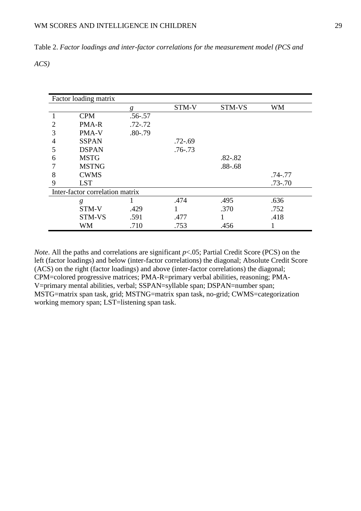|  | Table 2. Factor loadings and inter-factor correlations for the measurement model (PCS and |  |  |  |
|--|-------------------------------------------------------------------------------------------|--|--|--|
|--|-------------------------------------------------------------------------------------------|--|--|--|

# *ACS)*

| Factor loading matrix           |              |             |             |             |             |
|---------------------------------|--------------|-------------|-------------|-------------|-------------|
|                                 |              | g           | STM-V       | STM-VS      | <b>WM</b>   |
|                                 | <b>CPM</b>   | $.56 - .57$ |             |             |             |
|                                 | PMA-R        | $.72 - .72$ |             |             |             |
| 3                               | <b>PMA-V</b> | $.80 - .79$ |             |             |             |
| 4                               | <b>SSPAN</b> |             | $.72 - .69$ |             |             |
| 5                               | <b>DSPAN</b> |             | $.76 - .73$ |             |             |
| 6                               | <b>MSTG</b>  |             |             | $.82 - .82$ |             |
|                                 | <b>MSTNG</b> |             |             | $.88 - .68$ |             |
| 8                               | <b>CWMS</b>  |             |             |             | $.74 - .77$ |
| 9                               | <b>LST</b>   |             |             |             | $.73 - .70$ |
| Inter-factor correlation matrix |              |             |             |             |             |
|                                 | g            |             | .474        | .495        | .636        |
|                                 | STM-V        | .429        | 1           | .370        | .752        |
|                                 | STM-VS       | .591        | .477        |             | .418        |
|                                 | WM           | .710        | .753        | .456        |             |

*Note*. All the paths and correlations are significant *p*<.05; Partial Credit Score (PCS) on the left (factor loadings) and below (inter-factor correlations) the diagonal; Absolute Credit Score (ACS) on the right (factor loadings) and above (inter-factor correlations) the diagonal; CPM=colored progressive matrices; PMA-R=primary verbal abilities, reasoning; PMA-V=primary mental abilities, verbal; SSPAN=syllable span; DSPAN=number span; MSTG=matrix span task, grid; MSTNG=matrix span task, no-grid; CWMS=categorization working memory span; LST=listening span task.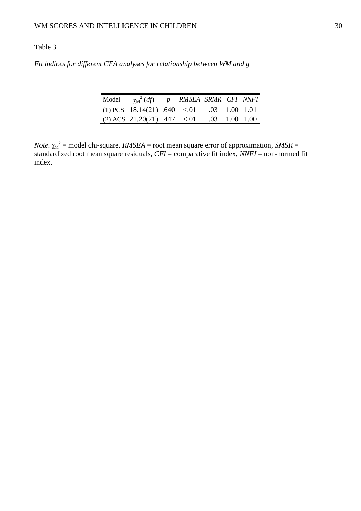# Table 3

*Fit indices for different CFA analyses for relationship between WM and g* 

| Model $\gamma_M^2(df)$ p RMSEA SRMR CFI NNFI |  |                             |                             |
|----------------------------------------------|--|-----------------------------|-----------------------------|
| (1) PCS $18.14(21)$ .640 <.01                |  | $.03 \quad 1.00 \quad 1.01$ |                             |
| $(2)$ ACS 21.20 $(21)$ .447 <.01             |  |                             | $.03 \quad 1.00 \quad 1.00$ |

*Note*.  $\chi_M^2$  = model chi-square, *RMSEA* = root mean square error of approximation, *SMSR* = standardized root mean square residuals, *CFI* = comparative fit index, *NNFI* = non-normed fit index.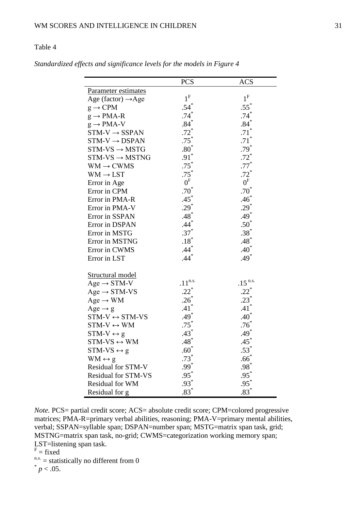# Table 4

|                                | <b>PCS</b>                          | <b>ACS</b>            |
|--------------------------------|-------------------------------------|-----------------------|
| Parameter estimates            |                                     |                       |
| Age (factor) $\rightarrow$ Age | $1^{\rm F}$                         | $1^{\rm F}$           |
| $g \rightarrow CPM$            | $.54$ <sup>*</sup>                  | $.55^*$               |
| $g \rightarrow PMA-R$          | $.74*$                              | $.74*$                |
| $g \rightarrow PMA-V$          | $.84^{\ast}$                        | $.84^{\ast}$          |
| $STM-V \rightarrow SSPAN$      | $.72^{*}$<br>$.75^{*}$              | $.71^{\ast}$          |
| $STM-V \rightarrow DSPAN$      |                                     | $.71^{\ast}$          |
| $STM-VS \rightarrow MSTG$      | $.80^{\ast}$                        | $.79^{*}$             |
| $STM-VS \rightarrow MSTNG$     | $.91*$                              | $.72 \times 77$       |
| $WM \rightarrow CWMS$          | $.75^{*}$                           |                       |
| $WM \rightarrow LST$           | $.75*$                              | $.72*$                |
| Error in Age                   | $0^{\rm F}$                         | $0^{\rm F}$           |
| Error in CPM                   | $.70*$                              | $.70*$                |
| Error in PMA-R                 | $.45^*$                             | $.46^{*}$             |
| Error in PMA-V                 | $.29*$                              | $.29*$                |
| Error in SSPAN                 | $.48*$                              | $.49*$                |
| Error in DSPAN                 | $.44*$                              | $.50*$                |
| Error in MSTG                  | $.37*$                              | $.38^{*}$             |
| Error in MSTNG                 | $.18^{\ast}$                        | $.48^{\ast}$          |
| Error in CWMS                  | $.44*$                              | $.40^*$               |
| Error in LST                   | $.44*$                              | $.49*$                |
| <b>Structural model</b>        |                                     |                       |
| $Age \rightarrow STM-V$        | $.11$ <sup>n.s.</sup>               | $.15$ <sup>n.s.</sup> |
| $Age \rightarrow STM-VS$       | $.22^{*}$<br>$.26^{*}$<br>$.41^{*}$ | $.22^{*}$             |
| Age $\rightarrow$ WM           |                                     | $.23*$                |
| Age $\rightarrow$ g            |                                     | $.41*$                |
| $STM-V \leftrightarrow STM-VS$ | $.49*$                              | $.40*$                |
| $STM-V \leftrightarrow WM$     |                                     | $.76*$                |
| $STM-V \leftrightarrow g$      | $.75^{*}$<br>$.43^{*}$              | $.49*$                |
| $STM-VS \leftrightarrow WM$    | $.48*$                              | $.45^*$               |
| $STM-VS \leftrightarrow g$     | $.60*$                              | $.53*$                |
| $WM \leftrightarrow g$         | $.73*$                              | $.66*$                |
| <b>Residual for STM-V</b>      | $.99*$                              | $.98^*$               |
| <b>Residual for STM-VS</b>     | $.95^*$                             | $.95^*$               |
| <b>Residual for WM</b>         | $.93*$                              | $.95*$                |
| Residual for g                 | $.83*$                              | $.83*$                |

*Standardized effects and significance levels for the models in Figure 4*

*Note.* PCS= partial credit score; ACS= absolute credit score; CPM=colored progressive matrices; PMA-R=primary verbal abilities, reasoning; PMA-V=primary mental abilities, verbal; SSPAN=syllable span; DSPAN=number span; MSTG=matrix span task, grid; MSTNG=matrix span task, no-grid; CWMS=categorization working memory span; LST=listening span task.

 $F = fixed$ 

 $n.s.$  = statistically no different from 0

 $p < .05$ .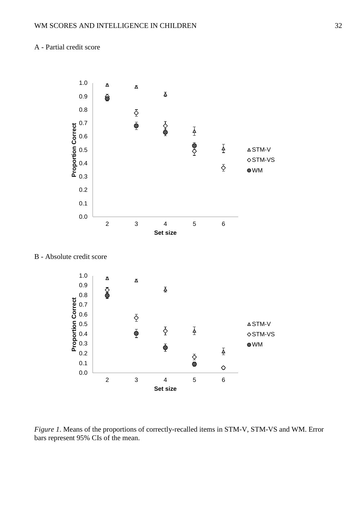## A - Partial credit score



B - Absolute credit score



*Figure 1*. Means of the proportions of correctly-recalled items in STM-V, STM-VS and WM. Error bars represent 95% CIs of the mean.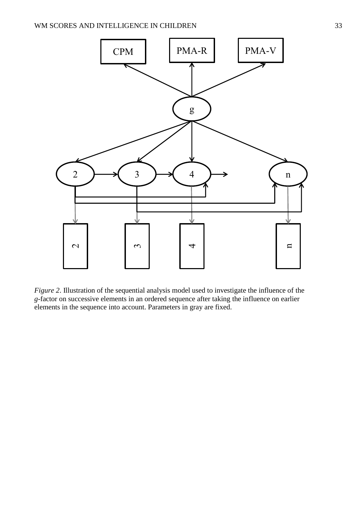

*Figure 2*. Illustration of the sequential analysis model used to investigate the influence of the *g*-factor on successive elements in an ordered sequence after taking the influence on earlier elements in the sequence into account. Parameters in gray are fixed.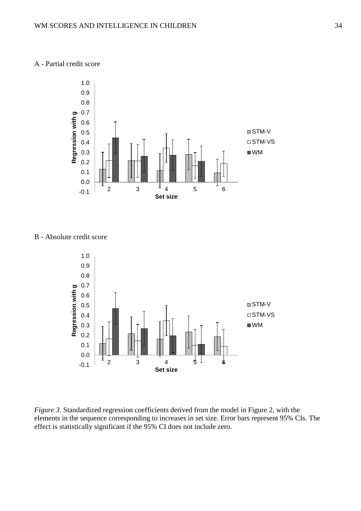# A - Partial credit score



## B - Absolute credit score



*Figure 3.* Standardized regression coefficients derived from the model in Figure 2, with the elements in the sequence corresponding to increases in set size. Error bars represent 95% CIs. The effect is statistically significant if the 95% CI does not include zero.